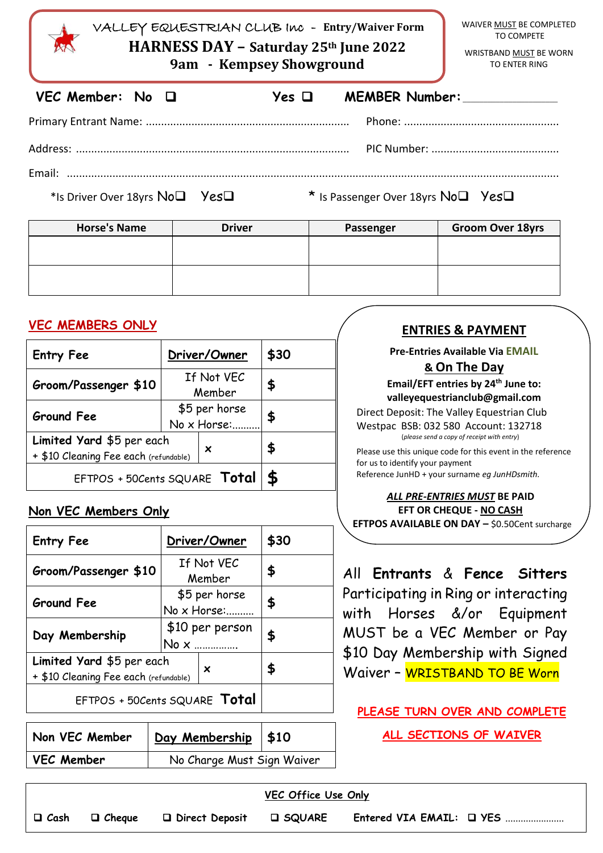| VALLEY EQUESTRIAN CLUB INC - Entry/Waiver Form<br>HARNESS DAY - Saturday 25 <sup>th</sup> June 2022<br>9am - Kempsey Showground | WAIVER MUST BE COMPLETED<br>TO COMPETE<br>WRISTBAND MUST BE WORN<br><b>TO ENTER RING</b> |
|---------------------------------------------------------------------------------------------------------------------------------|------------------------------------------------------------------------------------------|
| $VEC$ Member: No $\Box$                                                                                                         | MEMBER Number:<br>Yes $\Box$                                                             |
|                                                                                                                                 |                                                                                          |
|                                                                                                                                 |                                                                                          |
|                                                                                                                                 |                                                                                          |
| *Is Driver Over 18yrs No <sup>1</sup> Yes <sup>1</sup>                                                                          | * Is Passenger Over 18yrs No <sup>1</sup> Yes <sup>1</sup>                               |

| <b>Horse's Name</b> | <b>Driver</b> | Passenger | <b>Groom Over 18yrs</b> |
|---------------------|---------------|-----------|-------------------------|
|                     |               |           |                         |
|                     |               |           |                         |
|                     |               |           |                         |
|                     |               |           |                         |

# **VEC MEMBERS ONLY**

| <b>Entry Fee</b>                                                        | Driver/Owner                 |  | \$30 |
|-------------------------------------------------------------------------|------------------------------|--|------|
| Groom/Passenger \$10                                                    | If Not VEC<br>Member         |  | \$   |
| <b>Ground Fee</b>                                                       | \$5 per horse<br>No x Horse: |  | \$   |
| Limited Yard \$5 per each<br>×<br>+ \$10 Cleaning Fee each (refundable) |                              |  | \$   |
| EFTPOS + 50Cents SQUARE Total                                           | £                            |  |      |

## **Non VEC Members Only**

| <b>Entry Fee</b>                                                   | Driver/Owner                 | \$30 |
|--------------------------------------------------------------------|------------------------------|------|
| Groom/Passenger \$10                                               | If Not VEC<br>Member         | \$   |
| <b>Ground Fee</b>                                                  | \$5 per horse<br>No x Horse: | \$   |
| Day Membership                                                     | \$10 per person<br>No x      | \$   |
| Limited Yard \$5 per each<br>+ \$10 Cleaning Fee each (refundable) | X                            |      |
| EFTPOS + 50Cents SQUARE Total                                      |                              |      |

| Non VEC Member    | Day Membership \$10        |  |
|-------------------|----------------------------|--|
| <b>VEC Member</b> | No Charge Must Sign Waiver |  |

# **ENTRIES & PAYMENT**

#### **Pre-Entries Available Via EMAIL**

### **& On The Day**

**Email/EFT entries by 24th June to: valleyequestrianclub@gmail.com**

Direct Deposit: The Valley Equestrian Club Westpac BSB: 032 580 Account: 132718 (*please send a copy of receipt with entry*)

Please use this unique code for this event in the reference for us to identify your payment Reference JunHD + your surname *eg JunHDsmith.*

#### *ALL PRE-ENTRIES MUST* **BE PAID EFT OR CHEQUE - NO CASH EFTPOS AVAILABLE ON DAY –** \$0.50Cent surcharge

All **Entrants** & **Fence Sitters** Participating in Ring or interacting with Horses &/or Equipment MUST be a VEC Member or Pay \$10 Day Membership with Signed Waiver - WRISTBAND TO BE Worn

## **PLEASE TURN OVER AND COMPLETE**

**ALL SECTIONS OF WAIVER**

| VEC Office Use Only |               |                  |                  |                          |  |
|---------------------|---------------|------------------|------------------|--------------------------|--|
| □ Cash              | $\Box$ Cheque | D Direct Deposit | <b>LI SQUARE</b> | Entered VIA EMAIL: Q YES |  |